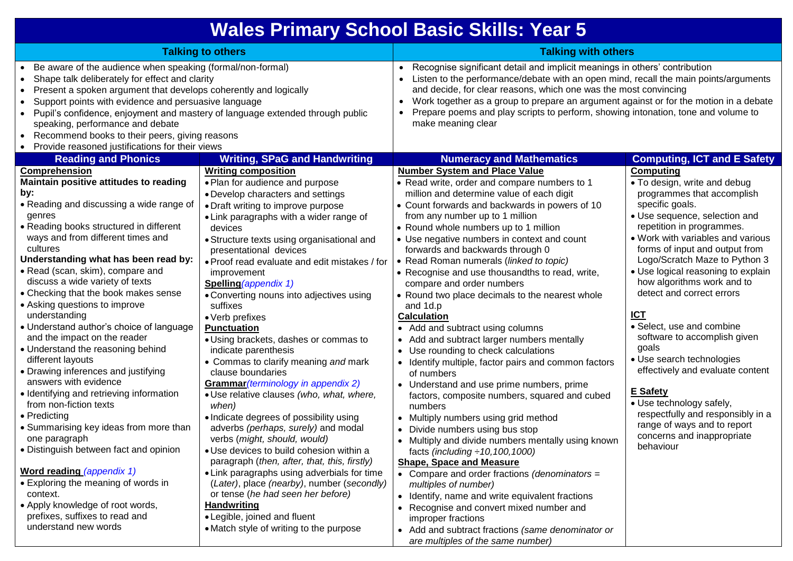## **Wales Primary School Basic Skills: Year 5**

| <b>Talking to others</b>                                                                                                                                                                                                                                                                                                                                                                                                                                                                                                                                                                                                                                                                                                                                                                                                                                                                                                                                                         |                                                                                                                                                                                                                                                                                                                                                                                                                                                                                                                                                                                                                                                                                                                                                                                                                                                                                                                                                                                                                                                                                                   | <b>Talking with others</b>                                                                                                                                                                                                                                                                                                                                                                                                                                                                                                                                                                                                                                                                                                                                                                                                                                                                                                                                                                                                                                                                                                                                                                                                                                                          |                                                                                                                                                                                                                                                                                                                                                                                                                                                                                                                                                                                                                                                                                             |
|----------------------------------------------------------------------------------------------------------------------------------------------------------------------------------------------------------------------------------------------------------------------------------------------------------------------------------------------------------------------------------------------------------------------------------------------------------------------------------------------------------------------------------------------------------------------------------------------------------------------------------------------------------------------------------------------------------------------------------------------------------------------------------------------------------------------------------------------------------------------------------------------------------------------------------------------------------------------------------|---------------------------------------------------------------------------------------------------------------------------------------------------------------------------------------------------------------------------------------------------------------------------------------------------------------------------------------------------------------------------------------------------------------------------------------------------------------------------------------------------------------------------------------------------------------------------------------------------------------------------------------------------------------------------------------------------------------------------------------------------------------------------------------------------------------------------------------------------------------------------------------------------------------------------------------------------------------------------------------------------------------------------------------------------------------------------------------------------|-------------------------------------------------------------------------------------------------------------------------------------------------------------------------------------------------------------------------------------------------------------------------------------------------------------------------------------------------------------------------------------------------------------------------------------------------------------------------------------------------------------------------------------------------------------------------------------------------------------------------------------------------------------------------------------------------------------------------------------------------------------------------------------------------------------------------------------------------------------------------------------------------------------------------------------------------------------------------------------------------------------------------------------------------------------------------------------------------------------------------------------------------------------------------------------------------------------------------------------------------------------------------------------|---------------------------------------------------------------------------------------------------------------------------------------------------------------------------------------------------------------------------------------------------------------------------------------------------------------------------------------------------------------------------------------------------------------------------------------------------------------------------------------------------------------------------------------------------------------------------------------------------------------------------------------------------------------------------------------------|
| Be aware of the audience when speaking (formal/non-formal)<br>Shape talk deliberately for effect and clarity<br>$\bullet$<br>Present a spoken argument that develops coherently and logically<br>$\bullet$<br>Support points with evidence and persuasive language<br>$\bullet$<br>Pupil's confidence, enjoyment and mastery of language extended through public<br>$\bullet$<br>speaking, performance and debate<br>Recommend books to their peers, giving reasons<br>$\bullet$<br>Provide reasoned justifications for their views<br>$\bullet$                                                                                                                                                                                                                                                                                                                                                                                                                                 |                                                                                                                                                                                                                                                                                                                                                                                                                                                                                                                                                                                                                                                                                                                                                                                                                                                                                                                                                                                                                                                                                                   | Recognise significant detail and implicit meanings in others' contribution<br>$\bullet$<br>Listen to the performance/debate with an open mind, recall the main points/arguments<br>and decide, for clear reasons, which one was the most convincing<br>Work together as a group to prepare an argument against or for the motion in a debate<br>Prepare poems and play scripts to perform, showing intonation, tone and volume to<br>make meaning clear                                                                                                                                                                                                                                                                                                                                                                                                                                                                                                                                                                                                                                                                                                                                                                                                                             |                                                                                                                                                                                                                                                                                                                                                                                                                                                                                                                                                                                                                                                                                             |
| <b>Reading and Phonics</b>                                                                                                                                                                                                                                                                                                                                                                                                                                                                                                                                                                                                                                                                                                                                                                                                                                                                                                                                                       | <b>Writing, SPaG and Handwriting</b>                                                                                                                                                                                                                                                                                                                                                                                                                                                                                                                                                                                                                                                                                                                                                                                                                                                                                                                                                                                                                                                              | <b>Numeracy and Mathematics</b>                                                                                                                                                                                                                                                                                                                                                                                                                                                                                                                                                                                                                                                                                                                                                                                                                                                                                                                                                                                                                                                                                                                                                                                                                                                     | <b>Computing, ICT and E Safety</b>                                                                                                                                                                                                                                                                                                                                                                                                                                                                                                                                                                                                                                                          |
| Comprehension<br>Maintain positive attitudes to reading<br>by:<br>• Reading and discussing a wide range of<br>genres<br>• Reading books structured in different<br>ways and from different times and<br>cultures<br>Understanding what has been read by:<br>· Read (scan, skim), compare and<br>discuss a wide variety of texts<br>• Checking that the book makes sense<br>• Asking questions to improve<br>understanding<br>· Understand author's choice of language<br>and the impact on the reader<br>• Understand the reasoning behind<br>different layouts<br>• Drawing inferences and justifying<br>answers with evidence<br>• Identifying and retrieving information<br>from non-fiction texts<br>• Predicting<br>• Summarising key ideas from more than<br>one paragraph<br>· Distinguish between fact and opinion<br>Word reading (appendix 1)<br>• Exploring the meaning of words in<br>context.<br>• Apply knowledge of root words,<br>prefixes, suffixes to read and | <b>Writing composition</b><br>· Plan for audience and purpose<br>• Develop characters and settings<br>• Draft writing to improve purpose<br>• Link paragraphs with a wider range of<br>devices<br>• Structure texts using organisational and<br>presentational devices<br>. Proof read evaluate and edit mistakes / for<br>improvement<br>Spelling (appendix 1)<br>• Converting nouns into adjectives using<br>suffixes<br>• Verb prefixes<br><b>Punctuation</b><br>· Using brackets, dashes or commas to<br>indicate parenthesis<br>• Commas to clarify meaning and mark<br>clause boundaries<br>Grammar (terminology in appendix 2)<br>· Use relative clauses (who, what, where,<br>when)<br>· Indicate degrees of possibility using<br>adverbs (perhaps, surely) and modal<br>verbs (might, should, would)<br>· Use devices to build cohesion within a<br>paragraph (then, after, that, this, firstly)<br>• Link paragraphs using adverbials for time<br>(Later), place (nearby), number (secondly)<br>or tense (he had seen her before)<br><b>Handwriting</b><br>• Legible, joined and fluent | <b>Number System and Place Value</b><br>• Read write, order and compare numbers to 1<br>million and determine value of each digit<br>• Count forwards and backwards in powers of 10<br>from any number up to 1 million<br>• Round whole numbers up to 1 million<br>• Use negative numbers in context and count<br>forwards and backwards through 0<br>• Read Roman numerals (linked to topic)<br>• Recognise and use thousandths to read, write,<br>compare and order numbers<br>• Round two place decimals to the nearest whole<br>and 1d.p<br><b>Calculation</b><br>Add and subtract using columns<br>• Add and subtract larger numbers mentally<br>• Use rounding to check calculations<br>• Identify multiple, factor pairs and common factors<br>of numbers<br>• Understand and use prime numbers, prime<br>factors, composite numbers, squared and cubed<br>numbers<br>• Multiply numbers using grid method<br>Divide numbers using bus stop<br>• Multiply and divide numbers mentally using known<br>facts (including $\div$ 10, 100, 1000)<br><b>Shape, Space and Measure</b><br>• Compare and order fractions (denominators =<br>multiples of number)<br>• Identify, name and write equivalent fractions<br>• Recognise and convert mixed number and<br>improper fractions | <b>Computing</b><br>. To design, write and debug<br>programmes that accomplish<br>specific goals.<br>• Use sequence, selection and<br>repetition in programmes.<br>. Work with variables and various<br>forms of input and output from<br>Logo/Scratch Maze to Python 3<br>• Use logical reasoning to explain<br>how algorithms work and to<br>detect and correct errors<br><b>ICT</b><br>• Select, use and combine<br>software to accomplish given<br>goals<br>• Use search technologies<br>effectively and evaluate content<br><b>E</b> Safety<br>· Use technology safely,<br>respectfully and responsibly in a<br>range of ways and to report<br>concerns and inappropriate<br>behaviour |

Add and subtract fractions *(same denominator or* 

*are multiples of the same number)*

Match style of writing to the purpose

understand new words